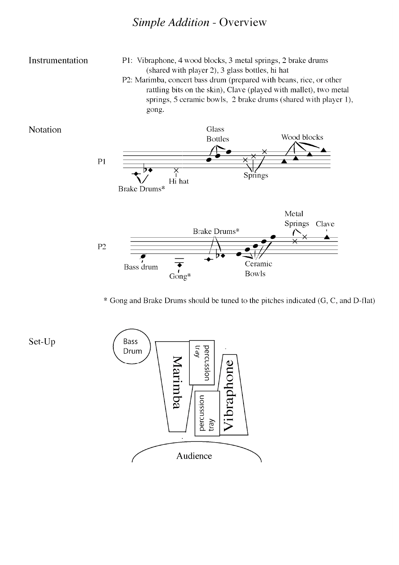## Simple Addition - Overview

## Instrumentation

Notation

P1: Vibraphone, 4 wood blocks, 3 metal springs, 2 brake drums (shared with player 2), 3 glass bottles, hi hat P2: Marimba, concert bass drum (prepared with beans, rice, or other rattling bits on the skin), Clave (played with mallet), two metal springs, 5 ceramic bowls, 2 brake drums (shared with player 1), gong.



\* Gong and Brake Drums should be tuned to the pitches indicated (G, C, and D-flat)

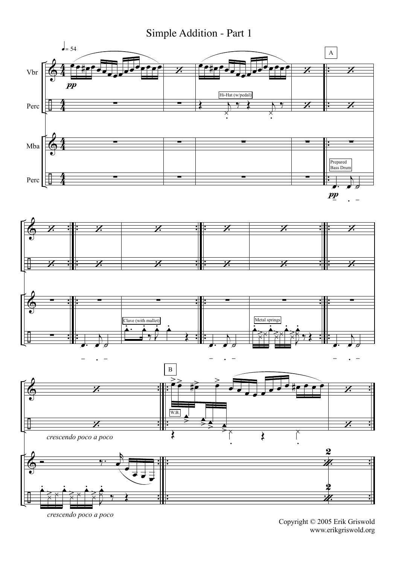Simple Addition - Part 1



crescendo poco a poco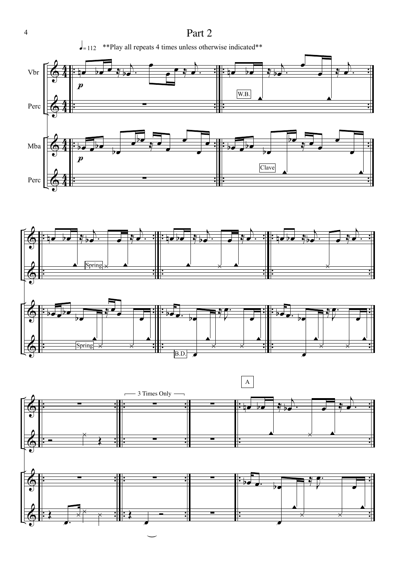





4